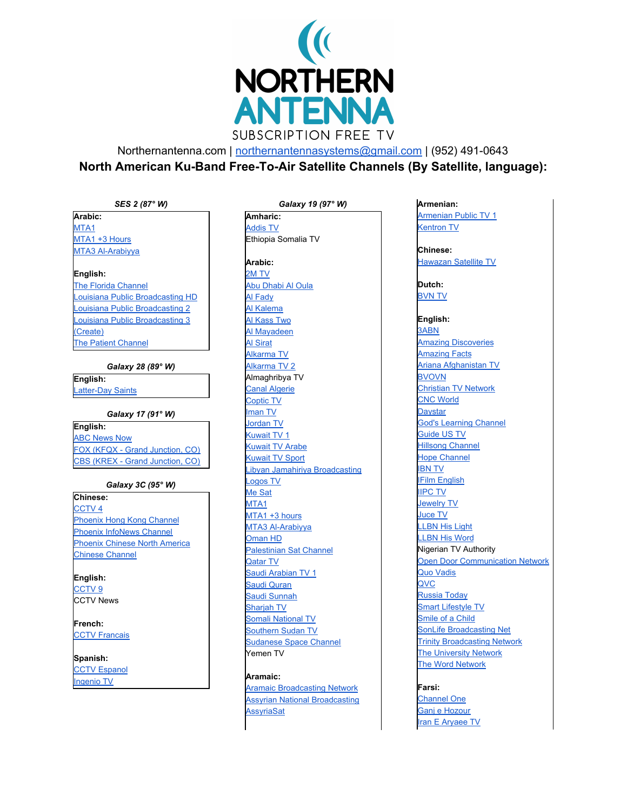

Northernantenna.com | [northernantennasystems@gmail.com](mailto:northernantennasystems@gmail.com) | (952) 491-0643

## **North American Ku-Band Free-To-Air Satellite Channels (By Satellite, language):**

*SES 2 (87° W)*

**Arabic:** [MTA1](http://www.mta.tv/) [MTA1](http://www.mta.tv/) +3 Hours

MTA3 [Al-Arabiyya](http://www.mta.tv/)

### **English:**

The Florida [Channel](http://thefloridachannel.org/) Louisiana Public [Broadcasting](http://beta.lpb.org/index.php) HD Louisiana Public [Broadcasting](http://beta.lpb.org/index.php) 2 Louisiana Public [Broadcasting](http://beta.lpb.org/index.php) 3 [\(Create\)](http://beta.lpb.org/index.php) The Patient [Channel](http://www.gehealthcare.com/education/patient_chan)

### *Galaxy 28 (89° W)*

**English:** [Latter-Day](https://www.lds.org/) Saints

### *Galaxy 17 (91° W)*

**English:** ABC [News](http://abcnews.go.com/Video/VideoLive) Now FOX (KFQX - Grand [Junction,](https://www.westernslopenow.com/) CO) CBS (KREX - Grand [Junction,](https://www.westernslopenow.com/) CO)

### *Galaxy 3C (95° W)*

**Chinese:** [CCTV](http://www.cctv.com/homepage/profile/04/) 4 Phoenix Hong Kong [Channel](http://www.phoenixtv-distribution.com/) Phoenix [InfoNews](http://phtv.ifeng.com/english/pic.shtml) Channel Phoenix [Chinese](http://phtv.ifeng.com/english/pnacc.shtml) North America Chinese [Channel](http://phtv.ifeng.com/english/pnacc.shtml)

**English:** [CCTV](http://english.cctv.com/index.shtml) 9 CCTV News

**French:** CCTV [Francais](http://fr.cctv.com/)

**Spanish: CCTV [Espanol](http://espanol.cctv.com/)** [Ingenio](https://www.televisioneducativa.gob.mx/canales/ingeniotv) TV

### *Galaxy 19 (97° W)*

**Amharic:** [Addis](http://aamma.gov.et/?i=2) TV Ethiopia Somalia TV

**Arabic:** [2M](http://www.2m.ma/) TV Abu [Dhabi](http://www.adtv.ae/shows-overview/#drama) Al Oula Al [Fady](http://www.alfadytv.tv/) Al [Kalema](http://www.alkalema.tv/) Al [Kass](http://www.alkass.net/) Two Al [Mayadeen](http://www.almayadeen.net/) Al [Sirat](http://www.assirat.tv/) [Alkarma](http://www.alkarmatv.com/) TV [Alkarma](http://www.alkarmatv.com/) TV 2 Almaghribya TV Canal [Algerie](http://www.entv.dz/) [Coptic](http://www.ctvchannel.tv/index.aspx) TV man TV [Jordan](http://www.jrtv.jo/jrtv/) TV [Kuwait](http://www.media.gov.kw/TVRadio/TV.aspx) TV 1 [Kuwait](http://www.media.gov.kw/TVRadio/TV.aspx) TV Arabe [Kuwait](http://www.media.gov.kw/LiveTV1.aspx?PanChannel=KTVSports) TV Sport Libyan Jamahiriya [Broadcasting](http://www.ljbc.net/home.php) [Logos](http://www.logoschannel.com/) TV Me [Sat](http://mesat.tv/) [MTA1](http://www.mta.tv/) [MTA1](http://www.mta.tv/) +3 hours MTA3 [Al-Arabiyya](http://www.mta.tv/) [Oman](http://part.gov.om/en/web/omantv/home) HD [Palestinian](http://www.pbc.ps/) Sat Channel [Qatar](http://www.qatar-tv.net/) TV Saudi [Arabian](http://www.saudi1.tv/) TV 1 Saudi [Quran](http://www.qurantv.sa/) Saudi [Sunnah](http://www.sunnatv.sa/) [Sharjah](http://www.sharjahtv.ae/) TV Somali [National](http://sntv.gov.so/) TV [Southern](https://www.facebook.com/pages/South-Sudan-Television-SSTV/2) Sudan TV [Sudanese](http://www.sudantv.tv/) Space Channel Yemen TV

#### **Aramaic:**

Aramaic [Broadcasting](http://www.abnsat.com/) Network Assyrian National [Broadcasting](http://www.anbsat.com/) **[AssyriaSat](http://www.betnahrain.org/assyriasat/assyriasat.htm)** 

**Armenian:** [Armenian](http://www.1tv.am/en) Public TV 1 [Kentron](http://www.kentron.tv/) TV

**Chinese:** [Hawazan](http://www.hwazantv.com/) Satellite TV

**Dutch:** [BVN](http://www.bvn.nl/) TV

**English:** [3ABN](http://www.3abn.org/tv.cfm) Amazing [Discoveries](http://www.amazingdiscoveries.org/) [Amazing](http://www.amazingfacts.org/) Facts Ariana [Afghanistan](http://www.aa-tv.com/) TV [BVOVN](https://www.bvovn.com/) [Christian](http://www.ctnonline.com/) TV Network CNC [World](http://www.cncworld.tv/) **[Daystar](http://www.daystar.com/)** God's [Learning](http://www.godslearningchannel.com/) Channel [Guide](http://www.guideus.tv/) US TV Hillsong [Channel](https://hillsong.com/channel/) Hope [Channel](http://www.hopetv.org/) [IBN](http://www.ibntelevision.com/) TV **Film [English](http://www.ifilmtv.ir/)** [IIPC](https://www.iipccanada.com/) TV [Jewelry](http://www.jtv.com/) TV [Juce](http://jucetv.com/) TV [LLBN](http://www.llbnhislight.com/) His Light [LLBN](http://www.llbn.tv/) His Word Nigerian TV Authority Open Door [Communication](http://www.ocn-tv.com/) Network Quo [Vadis](https://quovadisministry.org/tv-channel/) [QVC](http://www.qvc.com/) [Russia](http://www.russiatoday.ru/) Today Smart [Lifestyle](http://www.smartlifestyletv.com/) TV [Smile](http://www.tbn.org/) of a Child SonLife [Broadcasting](http://sonlifetv.com/domestic_eng.html) Net Trinity [Broadcasting](http://www.tbn.org/) Network The [University](http://www.drgenescott.org/) Network The Word [Network](http://www.thewordnetwork.org/)

### **Farsi:**

[Channel](http://ch1.cc/) One Ganj e [Hozour](http://www.parvizshahbazi.com/) Iran E [Aryaee](http://www.ieatv.com/) TV